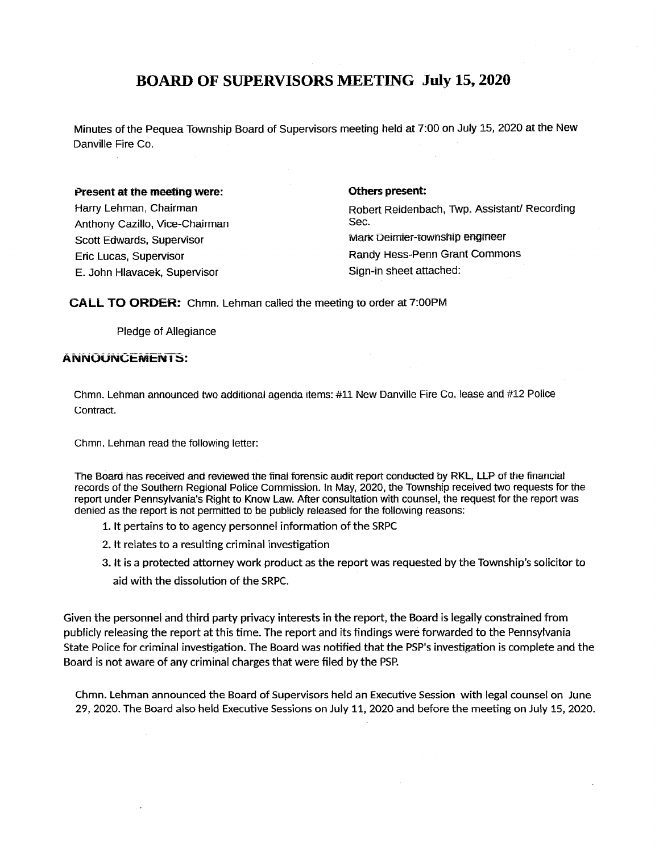# BOARD OF SUPERVISORS MEETING July 15, 2020

Minutes of the Pequea Township Board of Supervisors meeting held at 7: 00 on July 15, 2020 at the New Danville Fire Co.

#### Present at the meeting were: The settle of the settle of the present:

Anthony Cazillo, Vice-Chairman Sec. E. John Hlavacek, Supervisor Sign-in sheet attached:

Harry Lehman, Chairman **Robert Reidenbach, Twp. Assistant/ Recording** Scott Edwards, Supervisor Mark Deimier-township engineer Eric Lucas, Supervisor Randy Hess-Penn Grant Commons

CALL TO ORDER: Chmn. Lehman called the meeting to order at 7:00PM

Chmn. Lehman announced two additional agenda items: #11 New Danville Fire Co. lease and #12 Police contract.

Chmn. Lehman read the following letter:

Pledge of Allegiance

## ANNOUNCEMENTS:

Given the personnel and third party privacy interests in the report, the Board is legally constrained from publicly releasing the report at this time. The report and its findings were forwarded to the Pennsylvania State Police for criminal investigation. The Board was notified that the PSP's investigation is complete and the

The Board has received and reviewed the final forensic audit report conducted by RKL, LIP of the financial records of the Southern Regional Police Commission. In May, 2020, the Township received two requests for the report under Pennsylvania's Right to Know Law. After consultation with counsel, the request for the report was denied as the report is not permitted to be publicly released for the following reasons:

1. It pertains to to agency personnel information of the SRPC

2. It relates to <sup>a</sup> resulting criminal investigation

3. It is a protected attorney work product as the report was requested by the Township's solicitor to aid with the dissolution of the SRPC.

## Board is not aware of any criminal charges that were filed by the PSP.

Chmn. Lehman announced the Board of Supervisors held an Executive Session with legal counsel on June 29 , 2020. The Board also held Executive Sessions on July 11 , 2020 and before the meeting on July 15, 2020.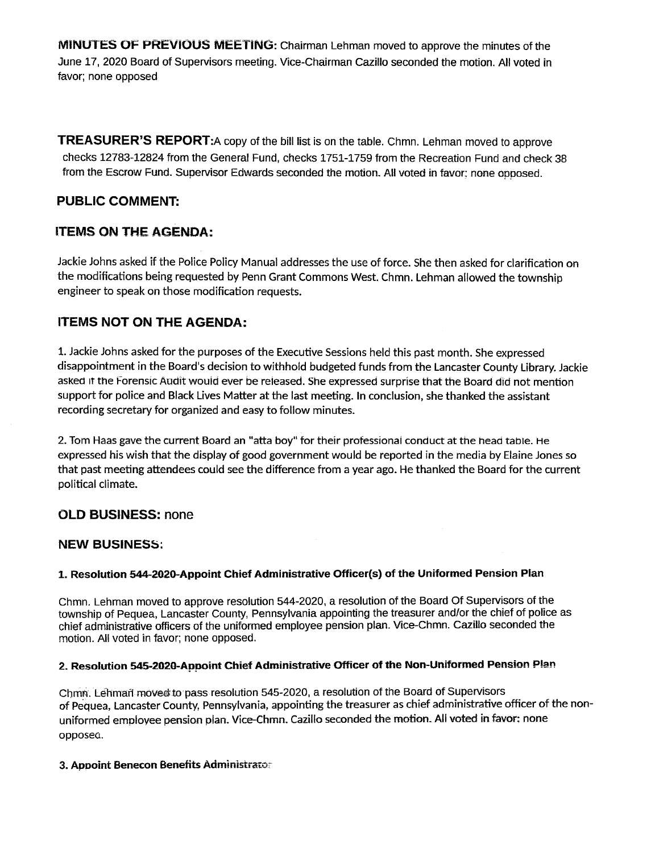MINUTES OF PREVIOUS MEETING: Chairman Lehman moved to approve the minutes of the June 17 , 2020 Board of Supervisors meeting. Vice-Chairman Cazillo seconded the motion . All voted in favor; none opposed

**TREASURER'S REPORT:** A copy of the bill list is on the table. Chmn. Lehman moved to approve checks 12783-12824 from the General Fund, checks 1751-1759 from the Recreation Fund and check 38 from the Escrow Fund. Supervisor Edwards seconded the motion. All voted in favor; none opposed.

# PUBLIC COMMENT:

# ITEMS ON THE AGENDA:

1. Jackie Johns asked for the purposes of the Executive Sessions held this past month. She expressed disappointment in the Board's decision to withhold budgeted funds from the Lancaster County Library. Jackie asked it the Forensic Audit would ever be released. She expressed surprise that the Board did not mention support for police and Black Lives Matter at the last meeting. In conclusion, she thanked the assistant recording secretary for organized and easy to follow minutes.

Jackie Johns asked if the Police Policy Manual addresses the use of force. She then asked for clarification on the modifications being requested by Penn Grant Commons West. Chmn. Lehman allowed the township engineer to speak on those modification requests.

## ITEMS NOT ON THE AGENDA:

Chmn . Lehman moved to approve resolution 544-2020 , a resolution of the Board Of Supervisors of the township of Pequea, Lancaster County, Pennsylvania appointing the treasurer and/or the chief of police as chief administrative officers of the uniformed employee pension plan. Vice-Chmn. Cazillo seconded the motion. All voted in favor; none opposed.

2. Tom Haas gave the current Board an "atta boy" for their professional conduct at the head table. He expressed his wish that the display of good government would be reported in the media by Elaine Jones so that past meeting attendees could see the difference from a year ago. He thanked the Board for the current political climate.

# OLD BUSINESS: none

## **NEW BUSINESS:**

## 1. Resolution 544-2020-Appoint Chief Administrative Officer(s) of the Uniformed Pension Plan

## 2. Resolution 545-2020-Appoint Chief Administrative Officer of the Non-Uniformed Pension Plan

Chmn. Lehman moved to pass resolution 545-2020, a resolution of the Board of Supervisors of Pequea, Lancaster County, Pennsylvania, appointing the treasurer as chief administrative officer of the nonuniformed employee pension plan. Vice-Chmn. Cazillo seconded the motion.. All voted in favor; none opposed.

3. Appoint Benecon Benefits Administrator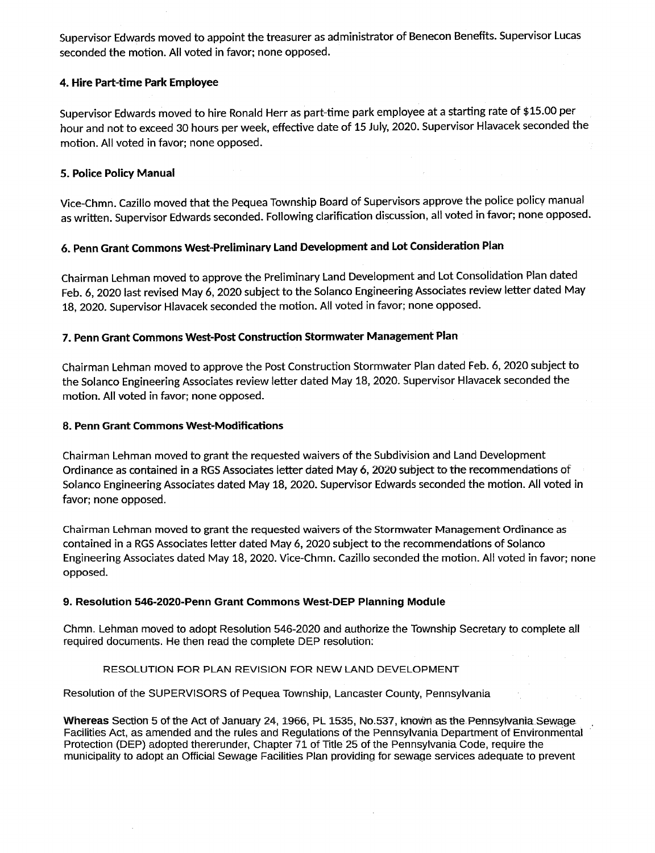Supervisor Edwards moved to appoint the treasurer as administrator of Benecon Benefits. Supervisor Lucas seconded the motion. All voted in favor; none opposed.

Supervisor Edwards moved to hire Ronald Herr as part-time park employee at a starting rate of \$ 15 .00 per hour and not to exceed 30 hours per week, effective date of 15 July, 2020. Supervisor Hiavacek seconded the motion. All voted in favor; none opposed.

## 4. Hire Part-time Park Employee

Vice-Chmn. Cazillo moved that the Pequea Township Board of Supervisors approve the police policy manual as written. Supervisor Edwards seconded. Following clarification discussion, all voted in favor; none opposed.

Chairman Lehman moved to approve the Preliminary Land Development and Lot Consolidation Plan dated Feb. 6, 2020 last revised May 6, 2020 subject to the Solanco Engineering Associates review letter dated May 18, 2020. Supervisor Hlavacek seconded the motion. All voted in favor; none opposed.

## 5 . Police Policy Manual

Chairman Lehman moved to approve the Post Construction Stormwater Plan dated Feb. 6, 2020 subject to the Solanco Engineering Associates review letter dated May 18, 2020. Supervisor Hiavacek seconded the motion. All voted in favor; none opposed.

## 6. Penn Grant Commons West-Preliminary Land Development and Lot Consideration Plan

Chmn . Lehman moved to adopt Resolution 546-2020 and authorize the Township Secretary to complete all required documents. He then read the complete DEP resolution:

## 7. Penn Grant Commons West-Post Construction Stormwater Management Plan

#### 8. Penn Grant Commons West-Modifications

Whereas Section 5 of the Act of January 24, 1966, PL 1535, No.537, known as the Pennsylvania Sewage. Facilities Act, as amended and the rules and Regulations of the Pennsylvania Department of Environmental Protection (DEP) adopted thererunder, Chapter 71 of Title 25 of the Pennsylvania Code , require the municipality to adopt an Official Sewage Facilities Plan providing for sewage services adequate to prevent

Chairman Lehman moved to grant the requested waivers of the Subdivision and Land Development Ordinance as contained in <sup>a</sup> RGS Associates letter dated May 6, 2020 subject to the recommendations of Solanco Engineering Associates dated May 18, 2020. Supervisor Edwards seconded the motion. All voted in favor; none opposed.

Chairman Lehman moved to grant the requested waivers of the Stormwater Management Ordinance as contained in a RGS Associates letter dated May 6, 2020 subject to the recommendations of Solanco Engineering Associates dated May 18, 2020. Vice-Chmn. Cazillo seconded the motion. All voted in favor; none opposed.

#### 9. Resolution 546-2020-Penn Grant Commons West-DEP Planning Module

#### RESOLUTION. POR PLAN REVISION POR NEW LAND DEVELOPMENT

Resolution of the SUPERVISORS of Pequea Township, Lancaster County, Pennsylvania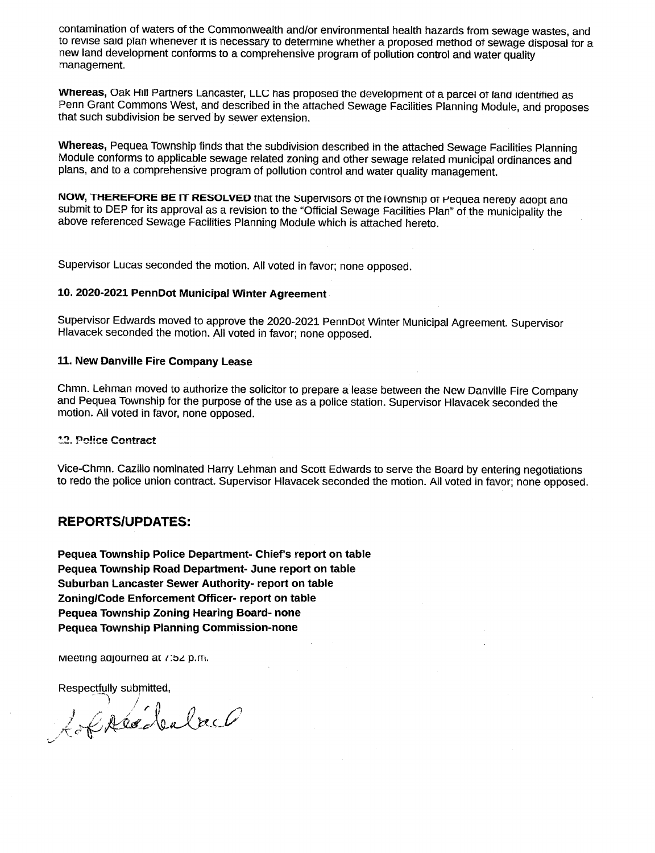contamination of waters of the Commonwealth and/or environmental health hazards from sewage wastes, and to revise said plan whenever it is necessary to determine whether a proposed method of sewage disposal for a new land development conforms to a comprehensive program of pollution control and water quality management.

Whereas, Oak Hill Partners Lancaster, LLC has proposed the development of a parcel of land identified as Penn Grant Commons West, and described in the attached Sewage Facilities Planning Module, and proposes that such subdivision be served by sewer extension.

Whereas, Pequea Township finds that the subdivision described in the attached Sewage Facilities Planning Module conforms to applicable sewage related zoning and other sewage related municipal ordinances and plans, and to a comprehensive program of pollution control and water quality management.

NOW, THEREFORE BE IT RESOLVED that the Supervisors of the fownship of Pequea nereby adopt and submit to DEP for its approval as a revision to the "Official Sewage Facilities Plan" of the municipality the above referenced Sewage Facilities Planning Module which is attached hereto.

Supervisor Lucas seconded the motion. All voted in favor; none opposed.

Supervisor Edwards moved to approve the 2020-2021 PennDot Winter Municipal Agreement. Supervisor Hlavacek seconded the motion. All voted in favor; none opposed.

Chmn . Lehman moved to authorize the solicitor to prepare a lease between the New Danville Fire Company and Pequea Township for the purpose of the use as a police station. Supervisor Hlavacek seconded the motion. All voted in favor, none opposed.

#### 12. Pelice Contract

Pequea Township Police Department- Chief's report on table Pequea Township Road Department- June report on table Suburban Lancaster Sewer Authority- report on table Zoning/Code Enforcement Officer- report on table Pequea Township Zoning Hearing Board- none Pequea Township Planning Commission-none

meeting adjourned at  $i$ :52 p.m.

Respectfully submitted, Lableabalach

## 10. 2020-2021 PennDot Municipal Winter Agreement

### 11. New Danville Fire Company Lease

Vice-Chmn . Cazillo nominated Harry Lehman and Scott Edwards to serve the Board by entering negotiations to redo the police union contract. Supervisor Hlavacek seconded the motion. All voted in favor; none opposed .

## REPORTS/UPDATES :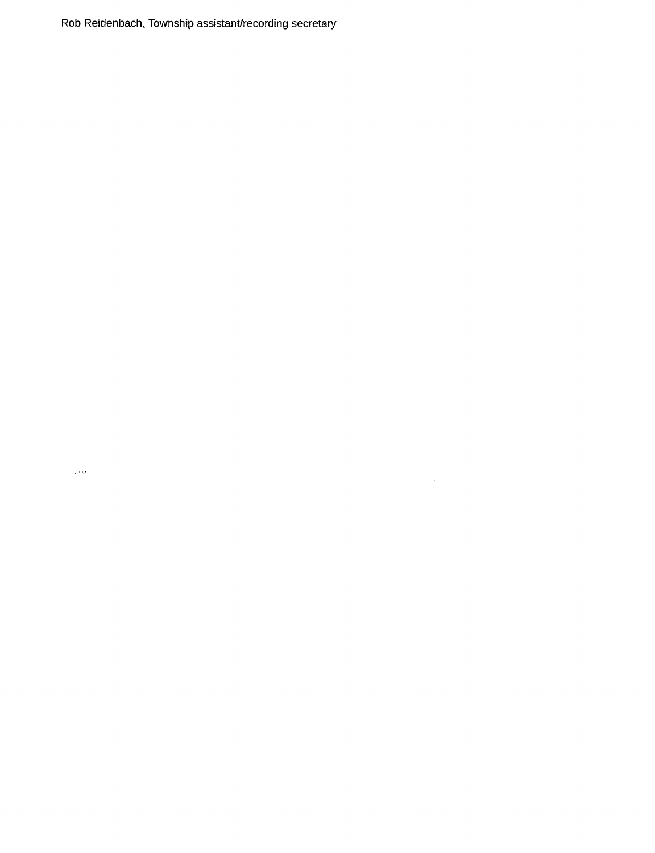Rob Reidenbach, Township assistant/recording secretary

 $\chi$  ) Open

 $\mathcal{L}^{\text{max}}_{\text{max}}$  and  $\mathcal{L}^{\text{max}}_{\text{max}}$